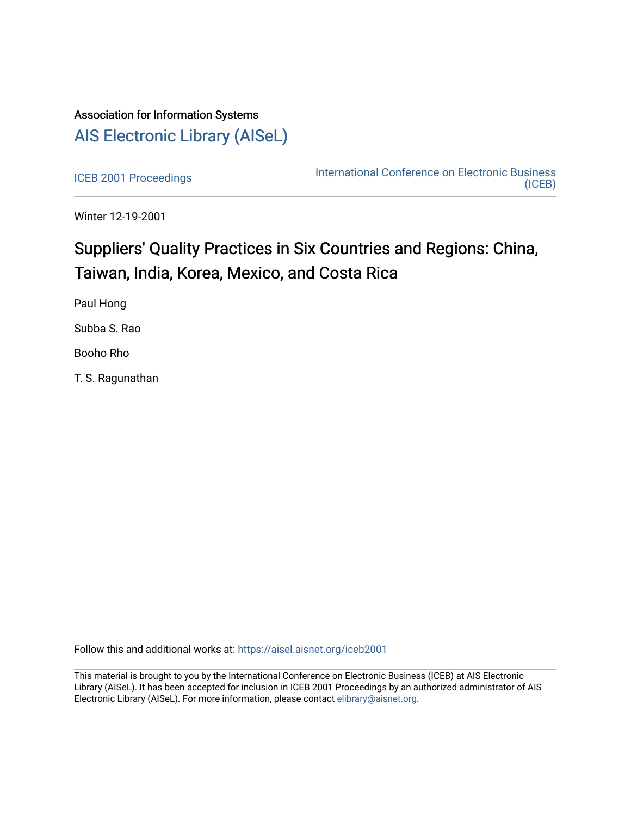# Association for Information Systems [AIS Electronic Library \(AISeL\)](https://aisel.aisnet.org/)

[ICEB 2001 Proceedings](https://aisel.aisnet.org/iceb2001) **International Conference on Electronic Business** [\(ICEB\)](https://aisel.aisnet.org/iceb) 

Winter 12-19-2001

# Suppliers' Quality Practices in Six Countries and Regions: China, Taiwan, India, Korea, Mexico, and Costa Rica

Paul Hong

Subba S. Rao

Booho Rho

T. S. Ragunathan

Follow this and additional works at: [https://aisel.aisnet.org/iceb2001](https://aisel.aisnet.org/iceb2001?utm_source=aisel.aisnet.org%2Ficeb2001%2F143&utm_medium=PDF&utm_campaign=PDFCoverPages)

This material is brought to you by the International Conference on Electronic Business (ICEB) at AIS Electronic Library (AISeL). It has been accepted for inclusion in ICEB 2001 Proceedings by an authorized administrator of AIS Electronic Library (AISeL). For more information, please contact [elibrary@aisnet.org.](mailto:elibrary@aisnet.org%3E)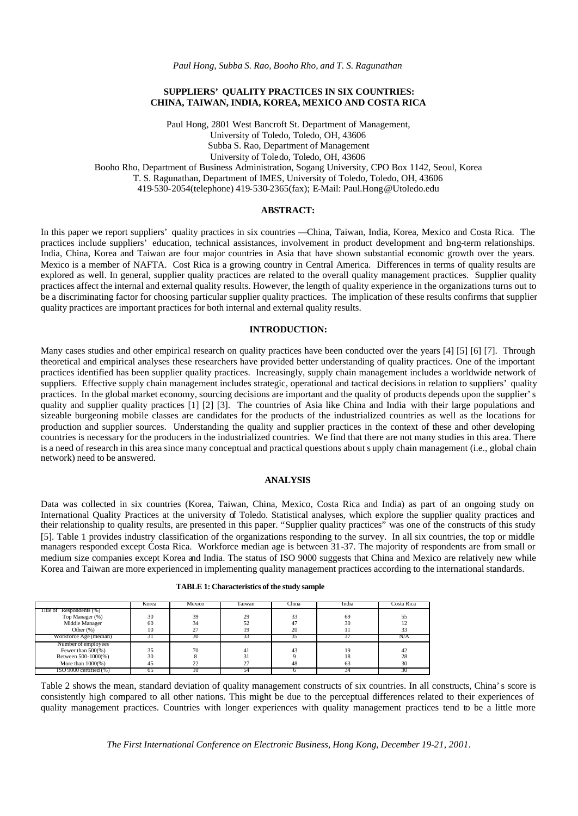*Paul Hong, Subba S. Rao, Booho Rho, and T. S. Ragunathan*

# **SUPPLIERS' QUALITY PRACTICES IN SIX COUNTRIES: CHINA, TAIWAN, INDIA, KOREA, MEXICO AND COSTA RICA**

Paul Hong, 2801 West Bancroft St. Department of Management, University of Toledo, Toledo, OH, 43606 Subba S. Rao, Department of Management University of Toledo, Toledo, OH, 43606 Booho Rho, Department of Business Administration, Sogang University, CPO Box 1142, Seoul, Korea T. S. Ragunathan, Department of IMES, University of Toledo, Toledo, OH, 43606 419-530-2054(telephone) 419-530-2365(fax); E-Mail: Paul.Hong@Utoledo.edu

# **ABSTRACT:**

In this paper we report suppliers' quality practices in six countries — China, Taiwan, India, Korea, Mexico and Costa Rica. The practices include suppliers' education, technical assistances, involvement in product development and long-term relationships. India, China, Korea and Taiwan are four major countries in Asia that have shown substantial economic growth over the years. Mexico is a member of NAFTA. Cost Rica is a growing country in Central America. Differences in terms of quality results are explored as well. In general, supplier quality practices are related to the overall quality management practices. Supplier quality practices affect the internal and external quality results. However, the length of quality experience in the organizations turns out to be a discriminating factor for choosing particular supplier quality practices. The implication of these results confirms that supplier quality practices are important practices for both internal and external quality results.

## **INTRODUCTION:**

Many cases studies and other empirical research on quality practices have been conducted over the years [4] [5] [6] [7]. Through theoretical and empirical analyses these researchers have provided better understanding of quality practices. One of the important practices identified has been supplier quality practices. Increasingly, supply chain management includes a worldwide network of suppliers. Effective supply chain management includes strategic, operational and tactical decisions in relation to suppliers' quality practices. In the global market economy, sourcing decisions are important and the quality of products depends upon the supplier's quality and supplier quality practices [1] [2] [3]. The countries of Asia like China and India with their large populations and sizeable burgeoning mobile classes are candidates for the products of the industrialized countries as well as the locations for production and supplier sources. Understanding the quality and supplier practices in the context of these and other developing countries is necessary for the producers in the industrialized countries. We find that there are not many studies in this area. There is a need of research in this area since many conceptual and practical questions about s upply chain management (i.e., global chain network) need to be answered.

#### **ANALYSIS**

Data was collected in six countries (Korea, Taiwan, China, Mexico, Costa Rica and India) as part of an ongoing study on International Quality Practices at the university of Toledo. Statistical analyses, which explore the supplier quality practices and their relationship to quality results, are presented in this paper. "Supplier quality practices" was one of the constructs of this study [5]. Table 1 provides industry classification of the organizations responding to the survey. In all six countries, the top or middle managers responded except Costa Rica. Workforce median age is between 31-37. The majority of respondents are from small or medium size companies except Korea and India. The status of ISO 9000 suggests that China and Mexico are relatively new while Korea and Taiwan are more experienced in implementing quality management practices according to the international standards.

|                               | Korea | Mexico | Faiwan | China | India | Costa Rica |
|-------------------------------|-------|--------|--------|-------|-------|------------|
| Title of Respondents (%)      |       |        |        |       |       |            |
| Top Manager (%)               | 30    | 39     | 29     | 33    | 69    | 55         |
| Middle Manager                | 60    | 34     | 52     |       | 30    |            |
| Other $(% )$                  | 10    | 27     | 19     | 20    |       | 33         |
| Workforce Age (median)        |       | 30     | 33     |       |       | N/A        |
| Number of employees           |       |        |        |       |       |            |
| Fewer than $500\%$ )          | 35    | 70     | 41     | 10    | 19    | 42         |
| Between 500-1000(%)           | 30    |        | 31     |       | 18    | 28         |
| More than $1000(\%)$          | 45    | 22     | 27     | 48    | 63    | 30         |
| $ISO\ 9000$ certified $(\% )$ |       | ю      | 54     |       | 54    |            |

| <b>TABLE 1: Characteristics of the study sample</b> |  |  |
|-----------------------------------------------------|--|--|
|-----------------------------------------------------|--|--|

Table 2 shows the mean, standard deviation of quality management constructs of six countries. In all constructs, China's score is consistently high compared to all other nations. This might be due to the perceptual differences related to their experiences of quality management practices. Countries with longer experiences with quality management practices tend to be a little more

*The First International Conference on Electronic Business, Hong Kong, December 19-21, 2001.*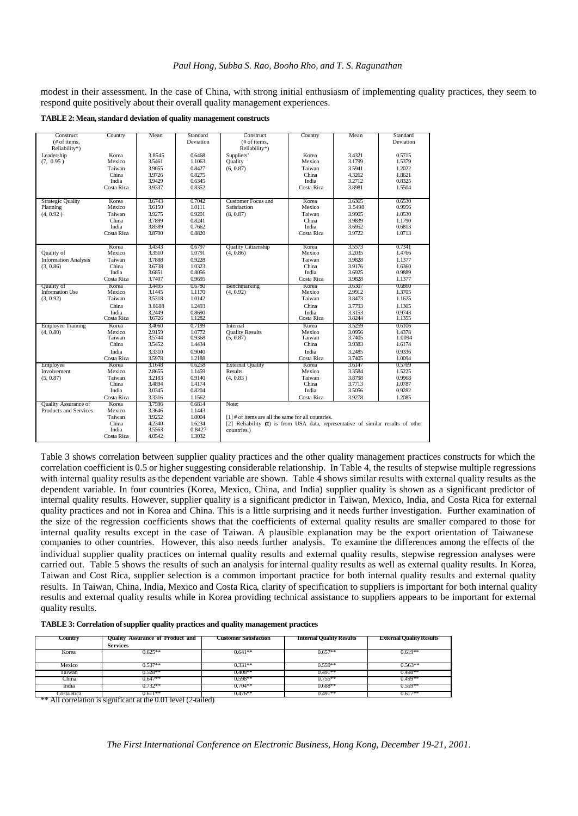#### *Paul Hong, Subba S. Rao, Booho Rho, and T. S. Ragunathan*

modest in their assessment. In the case of China, with strong initial enthusiasm of implementing quality practices, they seem to respond quite positively about their overall quality management experiences.

**TABLE 2: Mean, standard deviation of quality management constructs** 

| Construct                            | Country    | Mean   | Standard  | Construct                                                                          | Country    | Mean   | Standard  |
|--------------------------------------|------------|--------|-----------|------------------------------------------------------------------------------------|------------|--------|-----------|
| (# of items.                         |            |        | Deviation | (# of items.                                                                       |            |        | Deviation |
| Reliability*)                        |            |        |           | Reliability*)                                                                      |            |        |           |
| Leadership                           | Korea      | 3.8545 | 0.6468    | Suppliers'                                                                         | Korea      | 3.4321 | 0.5715    |
| (7, 0.95)                            | Mexico     | 3.5461 | 1.1063    | Quality                                                                            | Mexico     | 3.1799 | 1.5379    |
|                                      | Taiwan     | 3.9055 | 0.8427    | (6, 0.87)                                                                          | Taiwan     | 3.5941 | 1.2022    |
|                                      | China      | 3.9726 | 0.8275    |                                                                                    | China      | 4.3262 | 1.8621    |
|                                      | India      | 3.9429 | 0.6345    |                                                                                    | India      | 3.2712 | 0.8325    |
|                                      | Costa Rica | 3.9337 | 0.8352    |                                                                                    | Costa Rica | 3.8981 | 1.5504    |
|                                      |            |        |           |                                                                                    |            |        |           |
| Strategic Quality                    | Korea      | 3.6743 | 0.7042    | Customer Focus and                                                                 | Korea      | 3.6365 | 0.6530    |
| Planning                             | Mexico     | 3.6150 | 1.0111    | Satisfaction                                                                       | Mexico     | 3.5498 | 0.9956    |
| (4, 0.92)                            | Taiwan     | 3.9275 | 0.9201    | (8, 0.87)                                                                          | Taiwan     | 3.9905 | 1.0530    |
|                                      | China      | 3.7899 | 0.8241    |                                                                                    | China      | 3.9839 | 1.1790    |
|                                      | India      | 3.8389 | 0.7662    |                                                                                    | India      | 3.6952 | 0.6813    |
|                                      | Costa Rica | 3.8700 | 0.8820    |                                                                                    | Costa Rica | 3.9722 | 1.0713    |
|                                      |            |        |           |                                                                                    |            |        |           |
|                                      | Korea      | 3.4343 | 0.6797    | Quality Citizenship                                                                | Korea      | 3.5573 | 0.7341    |
| Quality of                           | Mexico     | 3.3510 | 1.0791    | (4, 0.86)                                                                          | Mexico     | 3.2035 | 1.4766    |
| <b>Information Analysis</b>          | Taiwan     | 3.7888 | 0.9228    |                                                                                    | Taiwan     | 3.9828 | 1.1377    |
| (3, 0.86)                            | China      | 3.6738 | 1.0323    |                                                                                    | China      | 3.9176 | 1.6360    |
|                                      | India      | 3.6851 | 0.8056    |                                                                                    | India      | 3.6925 | 0.9889    |
|                                      | Costa Rica | 3.7407 | 0.9695    |                                                                                    | Costa Rica | 3.9828 | 1.1377    |
|                                      | Korea      | 3.4495 | 0.6780    | Benchmarking                                                                       | Korea      | 3.6307 | 0.6860    |
| Quality of<br><b>Information Use</b> | Mexico     | 3.1445 | 1.1170    | (4, 0.92)                                                                          | Mexico     | 2.9912 | 1.3705    |
| (3, 0.92)                            | Taiwan     | 3.5318 | 1.0142    |                                                                                    | Taiwan     | 3.8473 | 1.1625    |
|                                      |            |        |           |                                                                                    |            |        |           |
|                                      | China      | 3.8688 | 1.2493    |                                                                                    | China      | 3.7793 | 1.1305    |
|                                      | India      | 3.2449 | 0.8690    |                                                                                    | India      | 3.3153 | 0.9743    |
|                                      | Costa Rica | 3.6726 | 1.1282    |                                                                                    | Costa Rica | 3.8244 | 1.1355    |
| <b>Employee Training</b>             | Korea      | 3.4060 | 0.7199    | Internal                                                                           | Korea      | 3.5259 | 0.6106    |
| (4, 0.80)                            | Mexico     | 2.9159 | 1.0772    | <b>Quality Results</b>                                                             | Mexico     | 3.0956 | 1.4378    |
|                                      | Taiwan     | 3.5744 | 0.9368    | (5, 0.87)                                                                          | Taiwan     | 3.7405 | 1.0094    |
|                                      | China      | 3.5452 | 1.4434    |                                                                                    | China      | 3.9383 | 1.6174    |
|                                      | India      | 3.3310 | 0.9040    |                                                                                    | India      | 3.2485 | 0.9336    |
|                                      | Costa Rica | 3.5978 | 1.2188    |                                                                                    | Costa Rica | 3.7405 | 1.0094    |
| Employee                             | Korea      | 3.1648 | 0.6258    | <b>External Quality</b>                                                            | Korea      | 3.6147 | 0.5769    |
| Involvement                          | Mexico     | 2.8655 | 1.1459    | <b>Results</b>                                                                     | Mexico     | 3.3584 | 1.5225    |
| (5, 0.87)                            | Taiwan     | 3.2183 | 0.9140    | (4, 0.83)                                                                          | Taiwan     | 3.8798 | 0.9968    |
|                                      | China      | 3.4894 | 1.4174    |                                                                                    | China      | 3.7713 | 1.0787    |
|                                      | India      | 3.0345 | 0.8204    |                                                                                    | India      | 3.5056 | 0.9282    |
|                                      | Costa Rica | 3.3316 | 1.1562    |                                                                                    | Costa Rica | 3.9278 | 1.2085    |
| <b>Ouality Assurance of</b>          | Korea      | 3.7596 | 0.6814    | Note:                                                                              |            |        |           |
| Products and Services                | Mexico     | 3.3646 | 1.1443    |                                                                                    |            |        |           |
|                                      | Taiwan     | 3.9252 | 1.0004    | $[1]$ # of items are all the same for all countries.                               |            |        |           |
|                                      | China      | 4.2340 | 1.6234    | [2] Reliability $(x)$ is from USA data, representative of similar results of other |            |        |           |
|                                      | India      | 3.5563 | 0.8427    | countries.)                                                                        |            |        |           |
|                                      | Costa Rica | 4.0542 | 1.3032    |                                                                                    |            |        |           |
|                                      |            |        |           |                                                                                    |            |        |           |

Table 3 shows correlation between supplier quality practices and the other quality management practices constructs for which the correlation coefficient is 0.5 or higher suggesting considerable relationship. In Table 4, the results of stepwise multiple regressions with internal quality results as the dependent variable are shown. Table 4 shows similar results with external quality results as the dependent variable. In four countries (Korea, Mexico, China, and India) supplier quality is shown as a significant predictor of internal quality results. However, supplier quality is a significant predictor in Taiwan, Mexico, India, and Costa Rica for external quality practices and not in Korea and China. This is a little surprising and it needs further investigation. Further examination of the size of the regression coefficients shows that the coefficients of external quality results are smaller compared to those for internal quality results except in the case of Taiwan. A plausible explanation may be the export orientation of Taiwanese companies to other countries. However, this also needs further analysis. To examine the differences among the effects of the individual supplier quality practices on internal quality results and external quality results, stepwise regression analyses were carried out. Table 5 shows the results of such an analysis for internal quality results as well as external quality results. In Korea, Taiwan and Cost Rica, supplier selection is a common important practice for both internal quality results and external quality results. In Taiwan, China, India, Mexico and Costa Rica, clarity of specification to suppliers is important for both internal quality results and external quality results while in Korea providing technical assistance to suppliers appears to be important for external quality results.

| TABLE 3: Correlation of supplier quality practices and quality management practices |  |  |  |
|-------------------------------------------------------------------------------------|--|--|--|
|                                                                                     |  |  |  |

| Country    | Quality Assurance of Product and<br><b>Services</b> | Customer Satisfaction | <b>Internal Quality Results</b> | <b>External Quality Results</b> |
|------------|-----------------------------------------------------|-----------------------|---------------------------------|---------------------------------|
| Korea      | $0.625**$                                           | $0.641**$             | $0.657**$                       | $0.619**$                       |
| Mexico     | $0.537**$                                           | $0.331**$             | $0.559**$                       | $0.563**$                       |
| Taiwan     | $0.528**$                                           | $0.408**$             | $0.491**$                       | $0.498**$                       |
| China      | $0.647**$                                           | $0.598**$             | $0.755***$                      | $0.499**$                       |
| India      | $0.732**$                                           | $0.704**$             | $0.688**$                       | $0.559**$                       |
| Costa Rica | 0.611**<br>$-101 - 11$                              | $0.476***$            | $0.491**$                       | $0.617**$                       |

\*\* All correlation is significant at the 0.01 level (2-tailed)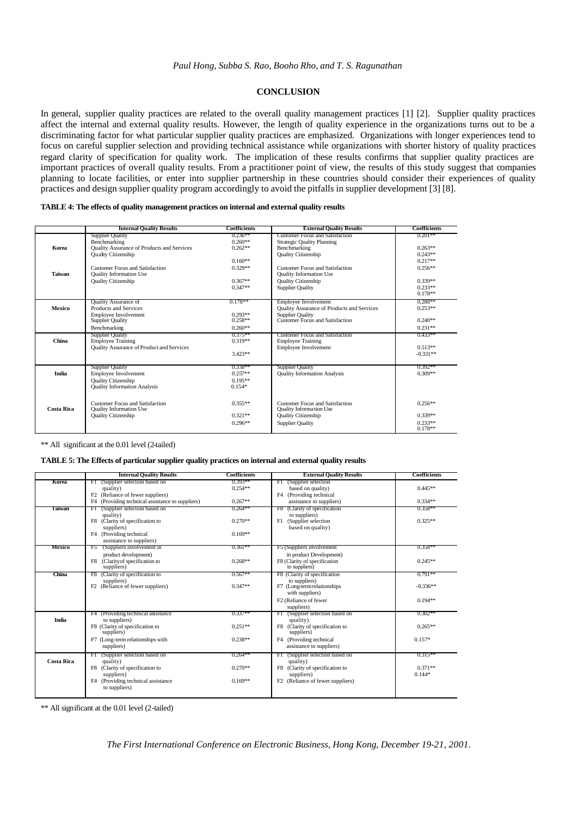# **CONCLUSION**

In general, supplier quality practices are related to the overall quality management practices [1] [2]. Supplier quality practices affect the internal and external quality results. However, the length of quality experience in the organizations turns out to be a discriminating factor for what particular supplier quality practices are emphasized. Organizations with longer experiences tend to focus on careful supplier selection and providing technical assistance while organizations with shorter history of quality practices regard clarity of specification for quality work. The implication of these results confirms that supplier quality practices are important practices of overall quality results. From a practitioner point of view, the results of this study suggest that companies planning to locate facilities, or enter into supplier partnership in these countries should consider their experiences of quality practices and design supplier quality program accordingly to avoid the pitfalls in supplier development [3] [8].

## **TABLE 4: The effects of quality management practices on internal and external quality results**

|                   | <b>Internal Quality Results</b>                      | Coefficients           | <b>External Quality Results</b>                                      | <b>Coefficients</b>     |
|-------------------|------------------------------------------------------|------------------------|----------------------------------------------------------------------|-------------------------|
|                   | <b>Supplier Quality</b><br>Benchmarking              | $0.236**$<br>$0.260**$ | Customer Focus and Satisfaction<br><b>Strategic Quality Planning</b> | $0.201**$               |
| Korea             | Quality Assurance of Products and Services           | $0.262**$              | Benchmarking                                                         | $0.263**$               |
|                   | <b>Quality Citizenship</b>                           |                        | Quality Citizenship                                                  | $0.243**$               |
|                   |                                                      | $0.160**$              |                                                                      | $0.217**$               |
|                   | Customer Focus and Satisfaction                      | $0.329**$              | <b>Customer Focus and Satisfaction</b>                               | $0.256**$               |
| Taiwan            | Quality Information Use                              |                        | <b>Quality Information Use</b>                                       |                         |
|                   | <b>Quality Citizenship</b>                           | $0.367**$              | <b>Quality Citizenship</b>                                           | $0.339**$               |
|                   |                                                      | $0.347**$              | <b>Supplier Quality</b>                                              | $0.233**$<br>$0.178**$  |
|                   |                                                      |                        |                                                                      |                         |
| Mexico            | <b>Quality Assurance of</b><br>Products and Services | $0.178**$              | Employee Involvement<br>Quality Assurance of Products and Services   | $0.288**$<br>$0.253**$  |
|                   | Employee Involvement                                 | $0.293**$              | <b>Supplier Quality</b>                                              |                         |
|                   | <b>Supplier Quality</b>                              | $0.258**$              | Customer Focus and Satisfaction                                      | $0.240**$               |
|                   | Benchmarking                                         | $0.260**$              |                                                                      | $0.231**$               |
|                   | <b>Supplier Quality</b>                              | $0.375**$              | <b>Customer Focus and Satisfaction</b>                               | $0.433**$               |
| China             | <b>Employee Training</b>                             | $0.319**$              | <b>Employee Training</b>                                             |                         |
|                   | Quality Assurance of Product and Services            | $3.423**$              | Employee Involvement                                                 | $0.513**$<br>$-0.331**$ |
|                   |                                                      |                        |                                                                      |                         |
|                   | <b>Supplier Quality</b>                              | $0.338**$              | <b>Supplier Quality</b>                                              | $0.392**$               |
| India             | <b>Employee Involvement</b>                          | $0.257**$              | <b>Quality Information Analysis</b>                                  | $0.309**$               |
|                   | Quality Citizenship                                  | $0.195**$              |                                                                      |                         |
|                   | Quality Information Analysis                         | $0.154*$               |                                                                      |                         |
|                   |                                                      |                        |                                                                      |                         |
|                   | <b>Customer Focus and Satisfaction</b>               | $0.355**$              | Customer Focus and Satisfaction                                      | $0.256**$               |
| <b>Costa Rica</b> | <b>Quality Information Use</b>                       |                        | <b>Quality Information Use</b>                                       |                         |
|                   | <b>Quality Citizenship</b>                           | $0.321**$              | <b>Quality Citizenship</b>                                           | $0.339**$               |
|                   |                                                      | $0.296**$              | <b>Supplier Quality</b>                                              | $0.233**$<br>$0.178**$  |
|                   |                                                      |                        |                                                                      |                         |

\*\* All significant at the 0.01 level (2-tailed)

#### **TABLE 5: The Effects of particular supplier quality practices on internal and external quality results**

|                   | <b>Internal Quality Results</b>                                                      | <b>Coefficients</b> | <b>External Quality Results</b>                     | <b>Coefficients</b> |
|-------------------|--------------------------------------------------------------------------------------|---------------------|-----------------------------------------------------|---------------------|
| Korea             | (Supplier selection based on<br>FI                                                   | $0.393**$           | (Supplier selection)<br>FI                          |                     |
|                   | quality)                                                                             | $0.254**$           | based on quality)                                   | $0.445**$           |
|                   | F2 (Reliance of fewer suppliers)<br>F4 (Providing technical assistance to suppliers) | $0.267**$           | F4 (Providing technical<br>assistance to suppliers) | $0.334**$           |
|                   |                                                                                      |                     |                                                     |                     |
| Taiwan            | (Supplier selection based on<br>FI                                                   | $0.264***$          | (Clarity of specification)<br>F8.                   | $0.358**$           |
|                   | quality)<br>F8 (Clarity of specification to                                          | $0.270**$           | to suppliers)<br>F1<br>(Supplier selection          | $0.325**$           |
|                   | suppliers)                                                                           |                     | based on quality)                                   |                     |
|                   | F4 (Providing technical                                                              | $0.169**$           |                                                     |                     |
|                   | assistance to suppliers)                                                             |                     |                                                     |                     |
| Mexico            | (Suppliers involvement in<br>Ŧ5                                                      | $0.361**$           | F5 (Suppliers involvement)                          | $0.358**$           |
|                   | product development)                                                                 |                     | in product Development)                             |                     |
|                   | (Clarity of specification to<br>F8                                                   | $0.268**$           | F8 (Clarity of specification                        | $0.245**$           |
|                   | suppliers)                                                                           |                     | to suppliers)                                       |                     |
| China             | F8 (Clarity of specification to                                                      | $0.567**$           | F8 (Clarity of specification                        | $0.791**$           |
|                   | suppliers)                                                                           | $0.347**$           | to suppliers)                                       | $-0.336**$          |
|                   | F <sub>2</sub> (Reliance of fewer suppliers)                                         |                     | F7 (Long-term relationships<br>with suppliers)      |                     |
|                   |                                                                                      |                     | F <sub>2</sub> (Reliance of fewer                   | $0.194**$           |
|                   |                                                                                      |                     | suppliers)                                          |                     |
|                   | F4 (Providing technical assistance                                                   | $0.337**$           | F1 (Supplier selection based on                     | $0.302**$           |
| India             | to suppliers)                                                                        |                     | quality)                                            |                     |
|                   | F8 (Clarity of specification to                                                      | $0.251**$           | F8 (Clarity of specification to                     | $0.265**$           |
|                   | suppliers)                                                                           |                     | suppliers)                                          |                     |
|                   | F7 (Long-term relationships with                                                     | $0.238**$           | F4 (Providing technical                             | $0.157*$            |
|                   | suppliers)                                                                           |                     | assistance to suppliers)                            |                     |
|                   | (Supplier selection based on<br>FI                                                   | $0.264***$          | (Supplier selection based on<br>FI                  | $0.315***$          |
| <b>Costa Rica</b> | quality)                                                                             |                     | quality)                                            |                     |
|                   | F8 (Clarity of specification to                                                      | $0.270**$           | F8 (Clarity of specification to                     | $0.371**$           |
|                   | suppliers)                                                                           |                     | suppliers)                                          | $0.144*$            |
|                   | F4 (Providing technical assistance                                                   | $0.169**$           | F <sub>2</sub> (Reliance of fewer suppliers)        |                     |
|                   | to suppliers)                                                                        |                     |                                                     |                     |
|                   |                                                                                      |                     |                                                     |                     |

\*\* All significant at the 0.01 level (2-tailed)